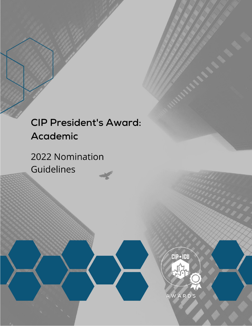# **CIP President's Award:** Academic

2022 Nomination Guidelines

**CIP • ICU** 

**AWARDS**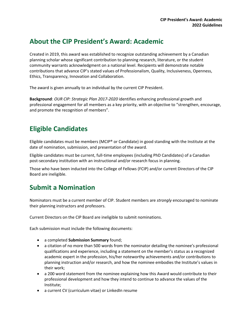#### **About the CIP President's Award: Academic**

Created in 2019, this award was established to recognize outstanding achievement by a Canadian planning scholar whose significant contribution to planning research, literature, or the student community warrants acknowledgment on a national level. Recipients will demonstrate notable contributions that advance CIP's stated values of Professionalism, Quality, Inclusiveness, Openness, Ethics, Transparency, Innovation and Collaboration.

The award is given annually to an individual by the current CIP President.

**Background**: *OUR CIP: Strategic Plan 2017-2020* identifies enhancing professional growth and professional engagement for all members as a key priority, with an objective to "strengthen, encourage, and promote the recognition of members".

### **Eligible Candidates**

Eligible candidates must be members (MCIP® or Candidate) in good standing with the Institute at the date of nomination, submission, and presentation of the award.

Eligible candidates must be current, full-time employees (including PhD Candidates) of a Canadian post-secondary institution with an instructional and/or research focus in planning.

Those who have been inducted into the College of Fellows (FCIP) and/or current Directors of the CIP Board are ineligible.

#### **Submit a Nomination**

Nominators must be a current member of CIP. Student members are *strongly* encouraged to nominate their planning instructors and professors.

Current Directors on the CIP Board are ineligible to submit nominations.

Each submission must include the following documents:

- a completed **Submission Summary** found;
- a citation of no more than 500 words from the nominator detailing the nominee's professional qualifications and experience, including a statement on the member's status as a recognized academic expert in the profession, his/her noteworthy achievements and/or contributions to planning instruction and/or research, and how the nominee embodies the Institute's values in their work;
- a 200 word statement from the nominee explaining how this Award would contribute to their professional development and how they intend to continue to advance the values of the Institute;
- a current CV (curriculum vitae) or LinkedIn resume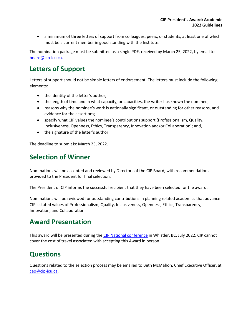a minimum of three letters of support from colleagues, peers, or students, at least one of which must be a current member in good standing with the Institute.

The nomination package must be submitted as a single PDF, received by March 25, 2022, by email to [board@cip-icu.ca.](mailto:board@cip-icu.ca)

#### **Letters of Support**

Letters of support should not be simple letters of endorsement. The letters must include the following elements:

- the identity of the letter's author;
- the length of time and in what capacity, or capacities, the writer has known the nominee;
- reasons why the nominee's work is nationally significant, or outstanding for other reasons, and evidence for the assertions;
- specify what CIP values the nominee's contributions support (Professionalism, Quality, Inclusiveness, Openness, Ethics, Transparency, Innovation and/or Collaboration); and,
- the signature of the letter's author.

The deadline to submit is: March 25, 2022.

#### **Selection of Winner**

Nominations will be accepted and reviewed by Directors of the CIP Board, with recommendations provided to the President for final selection.

The President of CIP informs the successful recipient that they have been selected for the award.

Nominations will be reviewed for outstanding contributions in planning related academics that advance CIP's stated values of Professionalism, Quality, Inclusiveness, Openness, Ethics, Transparency, Innovation, and Collaboration.

#### **Award Presentation**

This award will be presented during the [CIP National conference](https://web.cvent.com/event/24eb3bfc-9361-4836-b131-6675a7edc33c/summary) in Whistler, BC, July 2022. CIP cannot cover the cost of travel associated with accepting this Award in person.

#### **Questions**

Questions related to the selection process may be emailed to Beth McMahon, Chief Executive Officer, at [ceo@cip-icu.ca.](mailto:ceo@cip-icu.ca)